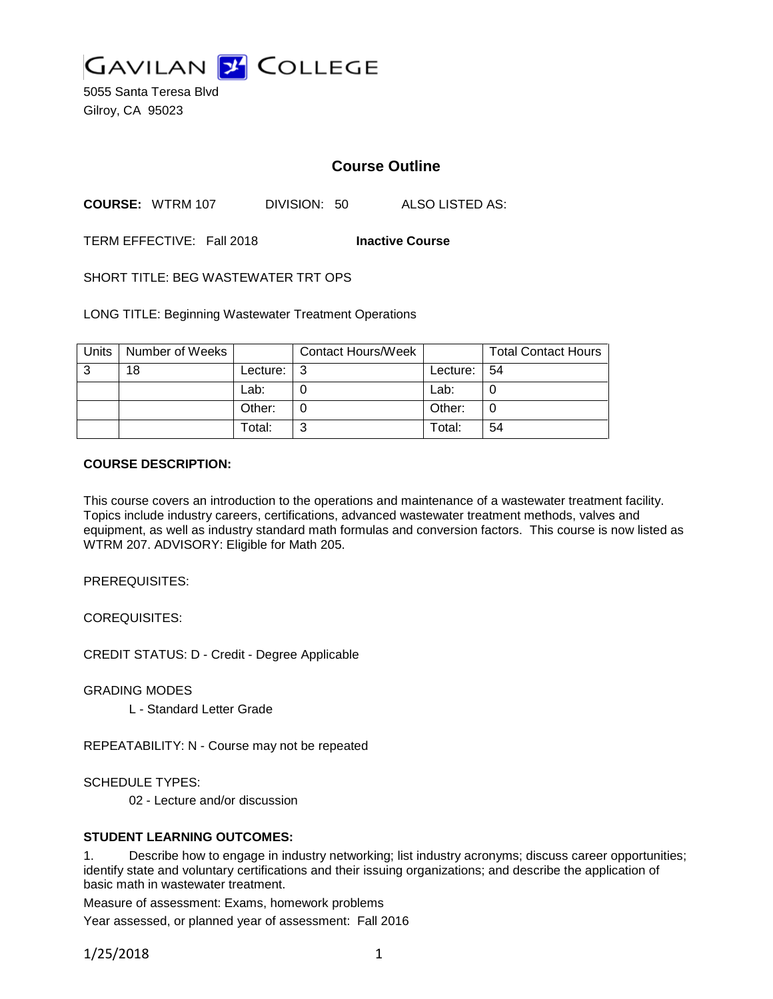

5055 Santa Teresa Blvd Gilroy, CA 95023

# **Course Outline**

**COURSE:** WTRM 107 DIVISION: 50 ALSO LISTED AS:

TERM EFFECTIVE: Fall 2018 **Inactive Course**

SHORT TITLE: BEG WASTEWATER TRT OPS

LONG TITLE: Beginning Wastewater Treatment Operations

| Units | Number of Weeks |          | <b>Contact Hours/Week</b> |          | <b>Total Contact Hours</b> |
|-------|-----------------|----------|---------------------------|----------|----------------------------|
| -3    | 18              | Lecture: | -3                        | Lecture: | l 54                       |
|       |                 | Lab:     |                           | Lab:     |                            |
|       |                 | Other:   |                           | Other:   | 0                          |
|       |                 | Total:   | ີ                         | Total:   | 54                         |

#### **COURSE DESCRIPTION:**

This course covers an introduction to the operations and maintenance of a wastewater treatment facility. Topics include industry careers, certifications, advanced wastewater treatment methods, valves and equipment, as well as industry standard math formulas and conversion factors. This course is now listed as WTRM 207. ADVISORY: Eligible for Math 205.

PREREQUISITES:

COREQUISITES:

CREDIT STATUS: D - Credit - Degree Applicable

GRADING MODES

L - Standard Letter Grade

REPEATABILITY: N - Course may not be repeated

SCHEDULE TYPES:

02 - Lecture and/or discussion

#### **STUDENT LEARNING OUTCOMES:**

1. Describe how to engage in industry networking; list industry acronyms; discuss career opportunities; identify state and voluntary certifications and their issuing organizations; and describe the application of basic math in wastewater treatment.

Measure of assessment: Exams, homework problems

Year assessed, or planned year of assessment: Fall 2016

1/25/2018 1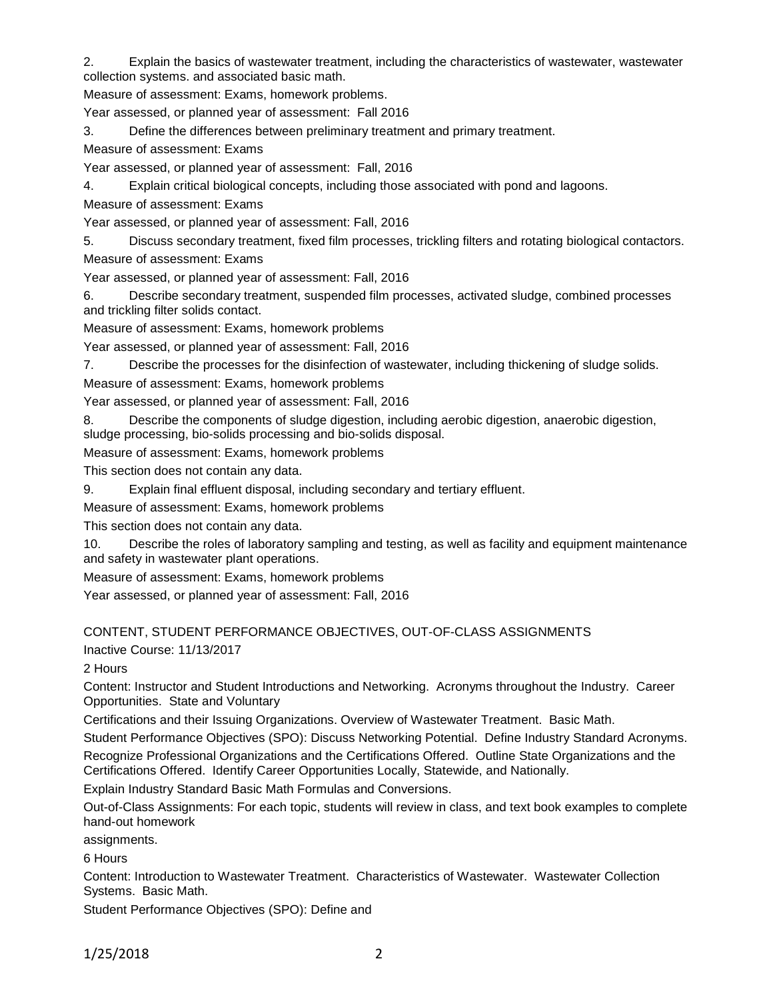2. Explain the basics of wastewater treatment, including the characteristics of wastewater, wastewater collection systems. and associated basic math.

Measure of assessment: Exams, homework problems.

Year assessed, or planned year of assessment: Fall 2016

3. Define the differences between preliminary treatment and primary treatment.

Measure of assessment: Exams

Year assessed, or planned year of assessment: Fall, 2016

4. Explain critical biological concepts, including those associated with pond and lagoons.

Measure of assessment: Exams

Year assessed, or planned year of assessment: Fall, 2016

5. Discuss secondary treatment, fixed film processes, trickling filters and rotating biological contactors.

Measure of assessment: Exams

Year assessed, or planned year of assessment: Fall, 2016

6. Describe secondary treatment, suspended film processes, activated sludge, combined processes and trickling filter solids contact.

Measure of assessment: Exams, homework problems

Year assessed, or planned year of assessment: Fall, 2016

7. Describe the processes for the disinfection of wastewater, including thickening of sludge solids.

Measure of assessment: Exams, homework problems

Year assessed, or planned year of assessment: Fall, 2016

8. Describe the components of sludge digestion, including aerobic digestion, anaerobic digestion, sludge processing, bio-solids processing and bio-solids disposal.

Measure of assessment: Exams, homework problems

This section does not contain any data.

9. Explain final effluent disposal, including secondary and tertiary effluent.

Measure of assessment: Exams, homework problems

This section does not contain any data.

10. Describe the roles of laboratory sampling and testing, as well as facility and equipment maintenance and safety in wastewater plant operations.

Measure of assessment: Exams, homework problems

Year assessed, or planned year of assessment: Fall, 2016

# CONTENT, STUDENT PERFORMANCE OBJECTIVES, OUT-OF-CLASS ASSIGNMENTS

Inactive Course: 11/13/2017

2 Hours

Content: Instructor and Student Introductions and Networking. Acronyms throughout the Industry. Career Opportunities. State and Voluntary

Certifications and their Issuing Organizations. Overview of Wastewater Treatment. Basic Math.

Student Performance Objectives (SPO): Discuss Networking Potential. Define Industry Standard Acronyms.

Recognize Professional Organizations and the Certifications Offered. Outline State Organizations and the Certifications Offered. Identify Career Opportunities Locally, Statewide, and Nationally.

Explain Industry Standard Basic Math Formulas and Conversions.

Out-of-Class Assignments: For each topic, students will review in class, and text book examples to complete hand-out homework

assignments.

6 Hours

Content: Introduction to Wastewater Treatment. Characteristics of Wastewater. Wastewater Collection Systems. Basic Math.

Student Performance Objectives (SPO): Define and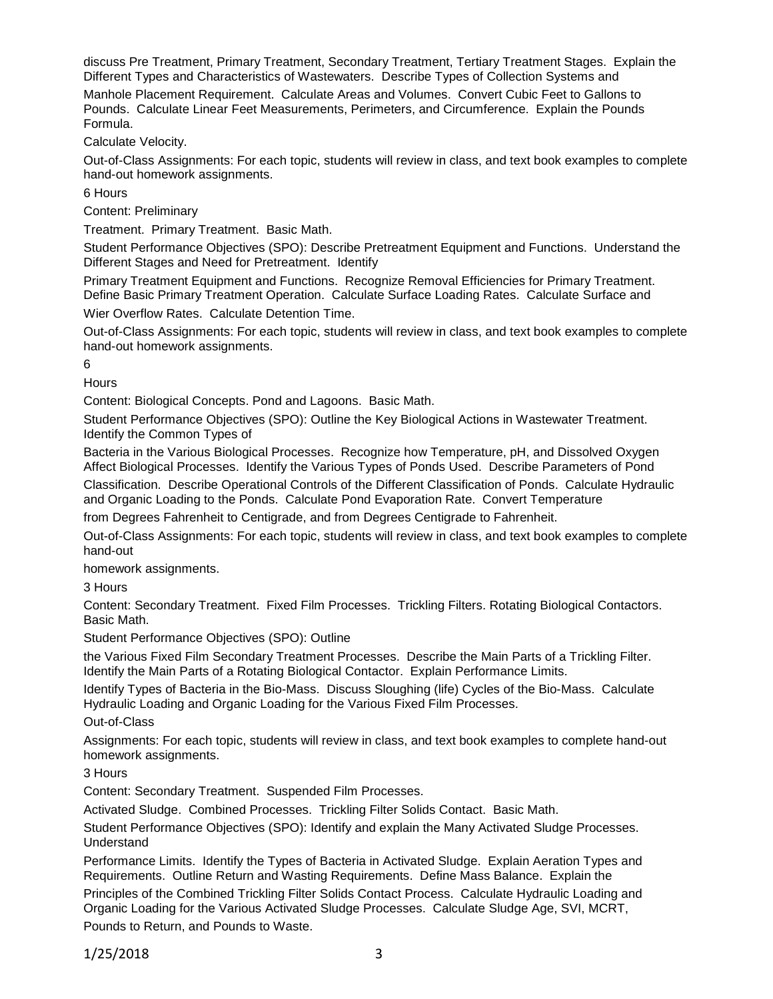discuss Pre Treatment, Primary Treatment, Secondary Treatment, Tertiary Treatment Stages. Explain the Different Types and Characteristics of Wastewaters. Describe Types of Collection Systems and

Manhole Placement Requirement. Calculate Areas and Volumes. Convert Cubic Feet to Gallons to Pounds. Calculate Linear Feet Measurements, Perimeters, and Circumference. Explain the Pounds Formula.

Calculate Velocity.

Out-of-Class Assignments: For each topic, students will review in class, and text book examples to complete hand-out homework assignments.

6 Hours

Content: Preliminary

Treatment. Primary Treatment. Basic Math.

Student Performance Objectives (SPO): Describe Pretreatment Equipment and Functions. Understand the Different Stages and Need for Pretreatment. Identify

Primary Treatment Equipment and Functions. Recognize Removal Efficiencies for Primary Treatment. Define Basic Primary Treatment Operation. Calculate Surface Loading Rates. Calculate Surface and Wier Overflow Rates. Calculate Detention Time.

Out-of-Class Assignments: For each topic, students will review in class, and text book examples to complete hand-out homework assignments.

6

**Hours** 

Content: Biological Concepts. Pond and Lagoons. Basic Math.

Student Performance Objectives (SPO): Outline the Key Biological Actions in Wastewater Treatment. Identify the Common Types of

Bacteria in the Various Biological Processes. Recognize how Temperature, pH, and Dissolved Oxygen Affect Biological Processes. Identify the Various Types of Ponds Used. Describe Parameters of Pond

Classification. Describe Operational Controls of the Different Classification of Ponds. Calculate Hydraulic and Organic Loading to the Ponds. Calculate Pond Evaporation Rate. Convert Temperature

from Degrees Fahrenheit to Centigrade, and from Degrees Centigrade to Fahrenheit.

Out-of-Class Assignments: For each topic, students will review in class, and text book examples to complete hand-out

homework assignments.

3 Hours

Content: Secondary Treatment. Fixed Film Processes. Trickling Filters. Rotating Biological Contactors. Basic Math.

Student Performance Objectives (SPO): Outline

the Various Fixed Film Secondary Treatment Processes. Describe the Main Parts of a Trickling Filter. Identify the Main Parts of a Rotating Biological Contactor. Explain Performance Limits.

Identify Types of Bacteria in the Bio-Mass. Discuss Sloughing (life) Cycles of the Bio-Mass. Calculate Hydraulic Loading and Organic Loading for the Various Fixed Film Processes.

Out-of-Class

Assignments: For each topic, students will review in class, and text book examples to complete hand-out homework assignments.

3 Hours

Content: Secondary Treatment. Suspended Film Processes.

Activated Sludge. Combined Processes. Trickling Filter Solids Contact. Basic Math.

Student Performance Objectives (SPO): Identify and explain the Many Activated Sludge Processes. Understand

Performance Limits. Identify the Types of Bacteria in Activated Sludge. Explain Aeration Types and Requirements. Outline Return and Wasting Requirements. Define Mass Balance. Explain the

Principles of the Combined Trickling Filter Solids Contact Process. Calculate Hydraulic Loading and Organic Loading for the Various Activated Sludge Processes. Calculate Sludge Age, SVI, MCRT, Pounds to Return, and Pounds to Waste.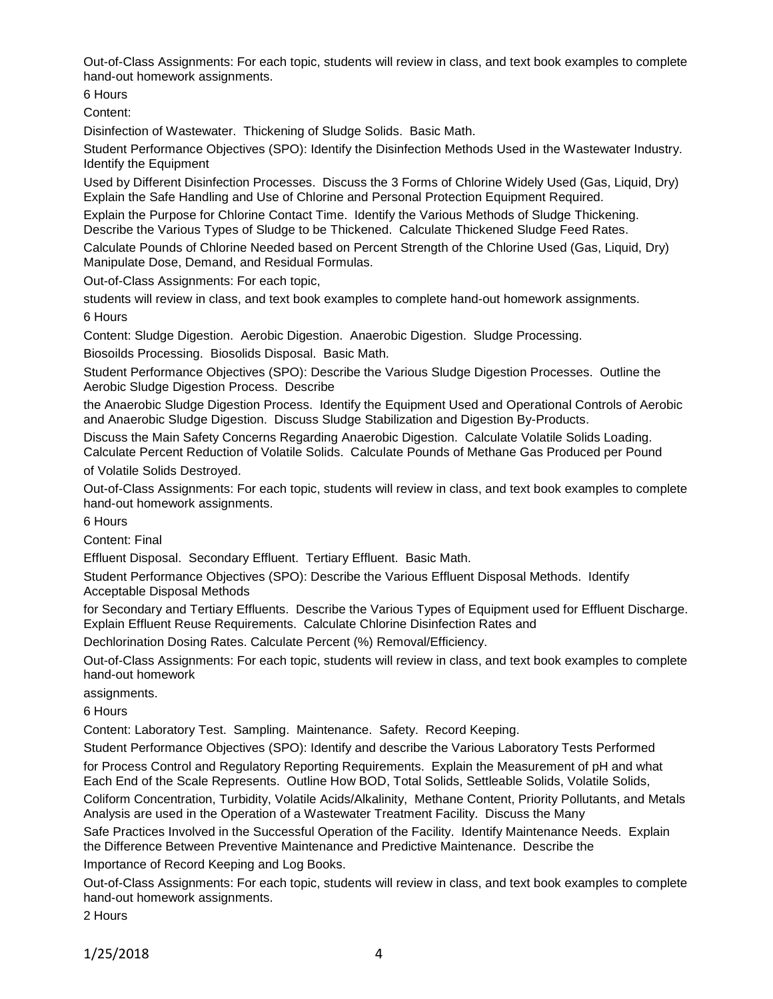Out-of-Class Assignments: For each topic, students will review in class, and text book examples to complete hand-out homework assignments.

6 Hours

Content:

Disinfection of Wastewater. Thickening of Sludge Solids. Basic Math.

Student Performance Objectives (SPO): Identify the Disinfection Methods Used in the Wastewater Industry. Identify the Equipment

Used by Different Disinfection Processes. Discuss the 3 Forms of Chlorine Widely Used (Gas, Liquid, Dry) Explain the Safe Handling and Use of Chlorine and Personal Protection Equipment Required.

Explain the Purpose for Chlorine Contact Time. Identify the Various Methods of Sludge Thickening. Describe the Various Types of Sludge to be Thickened. Calculate Thickened Sludge Feed Rates.

Calculate Pounds of Chlorine Needed based on Percent Strength of the Chlorine Used (Gas, Liquid, Dry) Manipulate Dose, Demand, and Residual Formulas.

Out-of-Class Assignments: For each topic,

students will review in class, and text book examples to complete hand-out homework assignments. 6 Hours

Content: Sludge Digestion. Aerobic Digestion. Anaerobic Digestion. Sludge Processing.

Biosoilds Processing. Biosolids Disposal. Basic Math.

Student Performance Objectives (SPO): Describe the Various Sludge Digestion Processes. Outline the Aerobic Sludge Digestion Process. Describe

the Anaerobic Sludge Digestion Process. Identify the Equipment Used and Operational Controls of Aerobic and Anaerobic Sludge Digestion. Discuss Sludge Stabilization and Digestion By-Products.

Discuss the Main Safety Concerns Regarding Anaerobic Digestion. Calculate Volatile Solids Loading. Calculate Percent Reduction of Volatile Solids. Calculate Pounds of Methane Gas Produced per Pound

of Volatile Solids Destroyed.

Out-of-Class Assignments: For each topic, students will review in class, and text book examples to complete hand-out homework assignments.

6 Hours

Content: Final

Effluent Disposal. Secondary Effluent. Tertiary Effluent. Basic Math.

Student Performance Objectives (SPO): Describe the Various Effluent Disposal Methods. Identify Acceptable Disposal Methods

for Secondary and Tertiary Effluents. Describe the Various Types of Equipment used for Effluent Discharge. Explain Effluent Reuse Requirements. Calculate Chlorine Disinfection Rates and

Dechlorination Dosing Rates. Calculate Percent (%) Removal/Efficiency.

Out-of-Class Assignments: For each topic, students will review in class, and text book examples to complete hand-out homework

assignments.

6 Hours

Content: Laboratory Test. Sampling. Maintenance. Safety. Record Keeping.

Student Performance Objectives (SPO): Identify and describe the Various Laboratory Tests Performed

for Process Control and Regulatory Reporting Requirements. Explain the Measurement of pH and what Each End of the Scale Represents. Outline How BOD, Total Solids, Settleable Solids, Volatile Solids,

Coliform Concentration, Turbidity, Volatile Acids/Alkalinity, Methane Content, Priority Pollutants, and Metals Analysis are used in the Operation of a Wastewater Treatment Facility. Discuss the Many

Safe Practices Involved in the Successful Operation of the Facility. Identify Maintenance Needs. Explain the Difference Between Preventive Maintenance and Predictive Maintenance. Describe the

Importance of Record Keeping and Log Books.

Out-of-Class Assignments: For each topic, students will review in class, and text book examples to complete hand-out homework assignments.

2 Hours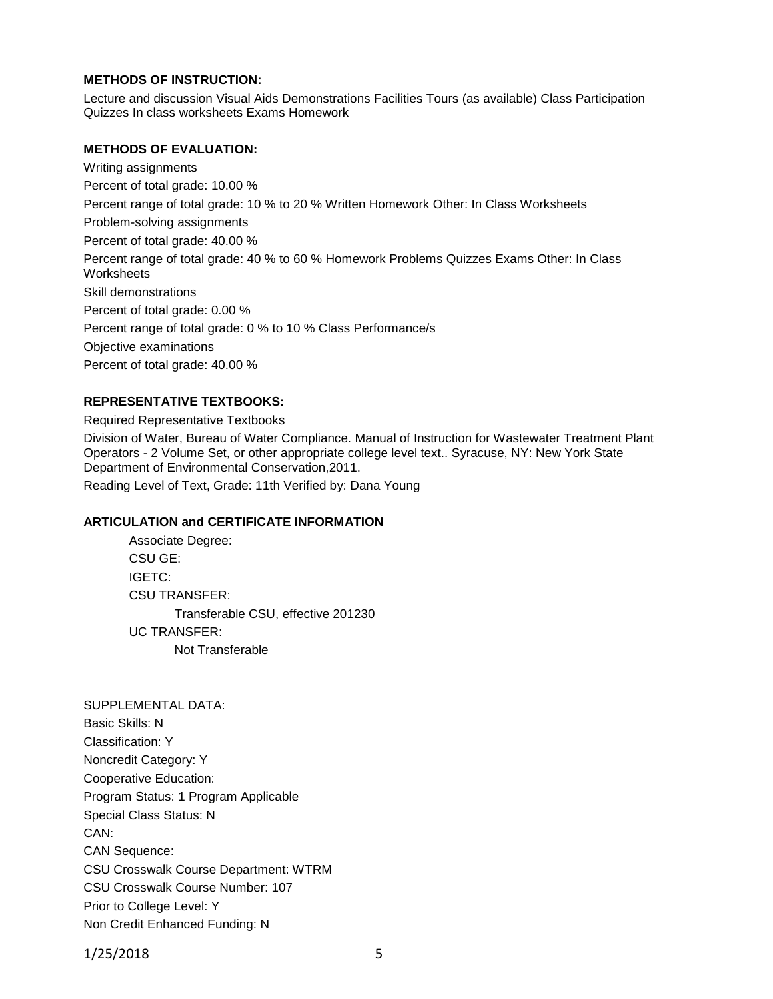# **METHODS OF INSTRUCTION:**

Lecture and discussion Visual Aids Demonstrations Facilities Tours (as available) Class Participation Quizzes In class worksheets Exams Homework

#### **METHODS OF EVALUATION:**

Writing assignments Percent of total grade: 10.00 % Percent range of total grade: 10 % to 20 % Written Homework Other: In Class Worksheets Problem-solving assignments Percent of total grade: 40.00 % Percent range of total grade: 40 % to 60 % Homework Problems Quizzes Exams Other: In Class **Worksheets** Skill demonstrations Percent of total grade: 0.00 % Percent range of total grade: 0 % to 10 % Class Performance/s Objective examinations Percent of total grade: 40.00 %

### **REPRESENTATIVE TEXTBOOKS:**

Required Representative Textbooks Division of Water, Bureau of Water Compliance. Manual of Instruction for Wastewater Treatment Plant Operators - 2 Volume Set, or other appropriate college level text.. Syracuse, NY: New York State Department of Environmental Conservation,2011. Reading Level of Text, Grade: 11th Verified by: Dana Young

# **ARTICULATION and CERTIFICATE INFORMATION**

Associate Degree: CSU GE: IGETC: CSU TRANSFER: Transferable CSU, effective 201230 UC TRANSFER: Not Transferable

SUPPLEMENTAL DATA: Basic Skills: N Classification: Y Noncredit Category: Y Cooperative Education: Program Status: 1 Program Applicable Special Class Status: N CAN: CAN Sequence: CSU Crosswalk Course Department: WTRM CSU Crosswalk Course Number: 107 Prior to College Level: Y Non Credit Enhanced Funding: N

1/25/2018 5